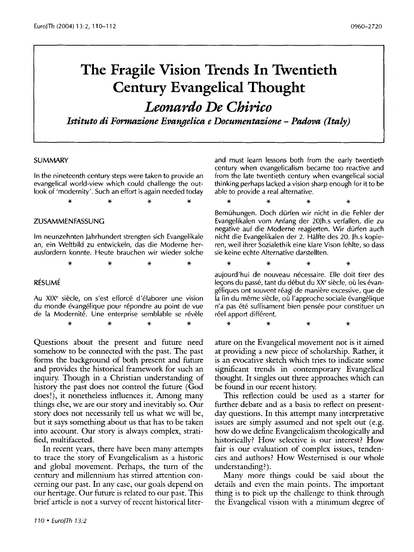# **The Fragile Vision Trends In Twentieth Century Evangelical Thought**

*Leonardo De Chirico* 

*Istituto di Formazione Evangelica e Documentazione- Padova (Italy)* 

#### SUMMARY

In the nineteenth century steps were taken to provide an evangelical world-view which could challenge the outlook of 'modernity'. Such an effort is again needed today

\* \* \* \*

### ZUSAMMENFASSUNG

Im neunzehnten Jahrhundert strengten sich Evangelikale an, ein Weltbild zu entwickeln, das die Moderne herausfordern konnte. Heute brauchen wir wieder solche

\* \* \* \*

## RESUME

Au XIX<sup>e</sup> siècle, on s'est efforcé d'élaborer une vision du monde évangélique pour répondre au point de vue de la Modernité. Une enterprise semblable se révèle \* \* \* \*

Questions about the present and future need somehow to be connected with the past. The past forms the background of both present and future and provides the historical framework for such an inquiry. Though in a Christian understanding of history the past does not control the future (God does!), it nonetheless influences it. Among many things else, we are our story and inevitably so. Our story does not necessarily tell us what we will be, but it says something about us that has to be taken into account. Our story is always complex, stratified, multifaceted.

In recent years, there have been many attempts to trace the story of Evangelicalism as a historic and global movement. Perhaps, the turn of the century and millennium has stirred attention concerning our past. In any case, our goals depend on our heritage. Our future is related to our past. This brief article is not a survey of recent historical literand must learn lessons both from the early twentieth century when evangelicalism became too reactive and from the late twentieth century when evangelical social thinking perhaps lacked a vision sharp enough for it to be able to provide a real alternative.

\* \* \* \* Bemuhungen. Doch durfen wir nicht in die Fehler der Evangelikalen vom Anfang der 20Jh.s verfallen, die zu negative auf die Moderne reagierten. Wir durfen auch nicht die Evangelikalen der 2. Halfte des 20. Jh.s kopieren, weil ihrer Sozialethik eine klare Vison fehlte, so dass sie keine echte Alternative darstellten.

\* \* \* \* aujourd'hui de nouveau necessaire. Elle doit tirer des leçons du passé, tant du début du XX<sup>e</sup> siècle, où les évangeliques ont souvent reagi de maniere excessive, que de la fin du même siècle, où l'approche sociale évangélique n'a pas ete suffisament bien pensee pour constituer un réel apport différent.

\* \* \* \*

ature on the Evangelical movement not is it aimed at providing a new piece of scholarship. Rather, it is an evocative sketch which tries to indicate some significant trends in contemporary Evangelical thought. It singles out three approaches which can be found in our recent history.

This reflection could be used as a starter for further debate and as a basis to reflect on presentday questions. In this attempt many interpretative issues are simply assumed and not spelt out (e.g. how do we define Evangelicalism theologically and historically? How selective is our interest? How fair is our evaluation of complex issues, tendencies and authors? How Westernised is our whole understanding?).

Many more things could be said about the details and even the main points. The important thing is to pick up the challenge to think through the Evangelical vision with a minimum degree of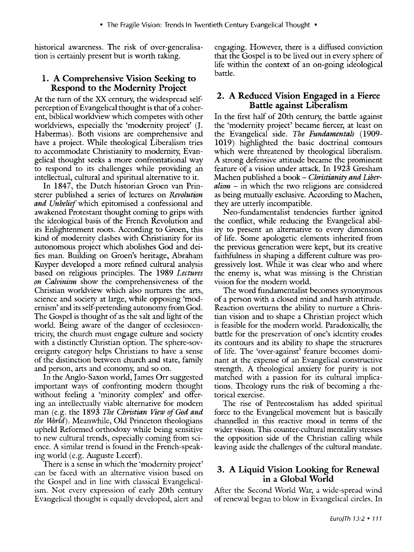historical awareness. The risk of over-generalisation is certainly present but is worth taking.

## **l. A Comprehensive Vision Seeking to Respond to the Modernity Project**

At the turn of the XX century; the widespread selfperception of Evangelical thought is that of a coherent, biblical worldview which competes with other worldviews, especially the 'modernity project' (J. Habermas). Both visions are comprehensive and have a project. While theological Liberalism tries to accommodate Christianity to modernity, Evangelical thought seeks a more confrontational way to respond to its challenges while providing an intellectual, cultural and spiritual alternative to it.

In 1847, the Dutch historian Groen van Prinsterer published a series of lectures on *Revolution and Unbelief* which epitomised a confessional and awakened Protestant thought coming to grips with the ideological basis of the French Revolution and its Enlightenment roots. According to Groen, this kind of modernity clashes with Christianity for its autonomous project which abolishes God and deifies man. Building on Groen's heritage, Abraham Kuyper developed a more refined cultural analysis based on religious principles. The 1989 *Lectures on Calvinism* show the comprehensiveness of the Christian worldview which also nurtures the arts, science and society at large, while opposing 'modernism' and its self-pretending autonomy from God. The Gospel is thought of as the salt and light of the world. Being aware of the danger of ecclesiocentricity, the church must engage culture and society with a distinctly Christian option. The sphere-sovereignty category helps Christians to have a sense of the distinction between church and state, family and person, arts and economy; and so on.

In the Anglo-Saxon world, James Orr suggested important ways of confronting modern thought without feeling a 'minority complex' and offering an intellectually viable alternative for modern man (e.g. the 1893 *The Christian View of God and the World*). Meanwhile, Old Princeton theologians upheld Reformed orthodoxy while being sensitive to new cultural trends, especially coming from science. A similar trend is found in the French-speaking world (e.g. Auguste Lecerf).

There is a sense in which the 'modernity project' can be faced with an alternative vision based on the Gospel and in line with classical Evangelicalism. Not every expression of early 20th century Evangelical thought is equally developed, alert and engaging. However, there is a diffused conviction that the Gospel is to be lived out in every sphere of life within the context of an on-going ideological battle.

# **2. A Reduced Vision Engaged in a Fierce Battle against Liberalism**

In the first half of 20th century; the battle against the 'modernity project' became fiercer, at least on the Evangelical side. *The Fundamentals* (1909- 1019) highlighted the basic doctrinal contours which were threatened by theological liberalism. A strong defensive attitude became the prominent feature of a vision under attack. In 1923 Gresham Machen published a book - *Christianity and Liberalism* - in which the two religions are considered as being mutually exclusive. According to Machen, they are utterly incompatible.

Neo-fundamentalist tendencies further ignited the conflict, while reducing the Evangelical ability to present an alternative to every dimension of life. Some apologetic elements inherited from the previous generation were kept, but its creative faithfulness in shaping a different culture was progressively lost. While it was clear who and where the enemy is, what was missing is the Christian vision for the modern world.

The word fundamentalist becomes synonymous of a person with a closed mind and harsh attitude. Reaction overturns the ability to nurture a Christian vision and to shape a Christian project which is feasible for the modern world. Paradoxically; the battle for the preservation of one's identity erodes its contours and its ability to shape the structures of life. The 'over-against' feature becomes dominant at the expense of an Evangelical constructive strength. A theological anxiety for purity is not matched with a passion for its cultural implications. Theology runs the risk of becoming a rhetorical exercise.

The rise of Pentecostalism has added spiritual force to the Evangelical movement but is basically channelled in this reactive mood in terms of the wider vision. This counter-cultural mentalitv stresses the opposition side of the Christian calling while leaving aside the challenges of the cultural mandate.

# **3. A Liquid Vision Looking for Renewal in a Global World**

After the Second World War, a wide-spread wind of renewal began to blow in Evangelical circles. In